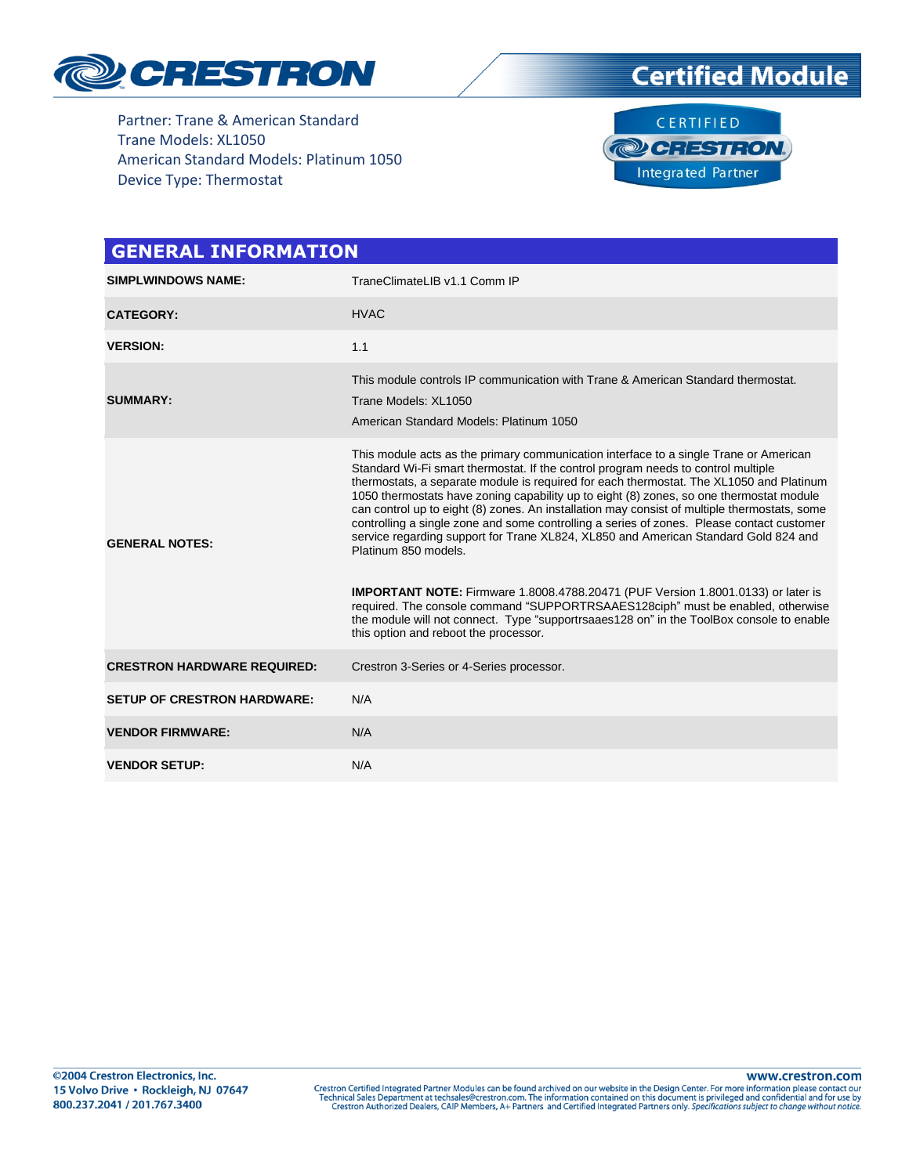





| <b>GENERAL INFORMATION</b>         |                                                                                                                                                                                                                                                                                                                                                                                                                                                                                                                                                                                                                                                                                                                                                                                                                                                                                                                                                                                                 |
|------------------------------------|-------------------------------------------------------------------------------------------------------------------------------------------------------------------------------------------------------------------------------------------------------------------------------------------------------------------------------------------------------------------------------------------------------------------------------------------------------------------------------------------------------------------------------------------------------------------------------------------------------------------------------------------------------------------------------------------------------------------------------------------------------------------------------------------------------------------------------------------------------------------------------------------------------------------------------------------------------------------------------------------------|
| <b>SIMPLWINDOWS NAME:</b>          | TraneClimateLIB v1.1 Comm IP                                                                                                                                                                                                                                                                                                                                                                                                                                                                                                                                                                                                                                                                                                                                                                                                                                                                                                                                                                    |
| <b>CATEGORY:</b>                   | <b>HVAC</b>                                                                                                                                                                                                                                                                                                                                                                                                                                                                                                                                                                                                                                                                                                                                                                                                                                                                                                                                                                                     |
| <b>VERSION:</b>                    | 1.1                                                                                                                                                                                                                                                                                                                                                                                                                                                                                                                                                                                                                                                                                                                                                                                                                                                                                                                                                                                             |
| <b>SUMMARY:</b>                    | This module controls IP communication with Trane & American Standard thermostat.<br>Trane Models: XL1050<br>American Standard Models: Platinum 1050                                                                                                                                                                                                                                                                                                                                                                                                                                                                                                                                                                                                                                                                                                                                                                                                                                             |
| <b>GENERAL NOTES:</b>              | This module acts as the primary communication interface to a single Trane or American<br>Standard Wi-Fi smart thermostat. If the control program needs to control multiple<br>thermostats, a separate module is required for each thermostat. The XL1050 and Platinum<br>1050 thermostats have zoning capability up to eight (8) zones, so one thermostat module<br>can control up to eight (8) zones. An installation may consist of multiple thermostats, some<br>controlling a single zone and some controlling a series of zones. Please contact customer<br>service regarding support for Trane XL824, XL850 and American Standard Gold 824 and<br>Platinum 850 models.<br><b>IMPORTANT NOTE:</b> Firmware 1.8008.4788.20471 (PUF Version 1.8001.0133) or later is<br>required. The console command "SUPPORTRSAAES128ciph" must be enabled, otherwise<br>the module will not connect. Type "supportrsaaes128 on" in the ToolBox console to enable<br>this option and reboot the processor. |
| <b>CRESTRON HARDWARE REQUIRED:</b> | Crestron 3-Series or 4-Series processor.                                                                                                                                                                                                                                                                                                                                                                                                                                                                                                                                                                                                                                                                                                                                                                                                                                                                                                                                                        |
| <b>SETUP OF CRESTRON HARDWARE:</b> | N/A                                                                                                                                                                                                                                                                                                                                                                                                                                                                                                                                                                                                                                                                                                                                                                                                                                                                                                                                                                                             |
| <b>VENDOR FIRMWARE:</b>            | N/A                                                                                                                                                                                                                                                                                                                                                                                                                                                                                                                                                                                                                                                                                                                                                                                                                                                                                                                                                                                             |
| <b>VENDOR SETUP:</b>               | N/A                                                                                                                                                                                                                                                                                                                                                                                                                                                                                                                                                                                                                                                                                                                                                                                                                                                                                                                                                                                             |

@2004 Crestron Electronics, Inc. 15 Volvo Drive · Rockleigh, NJ 07647 800.237.2041 / 201.767.3400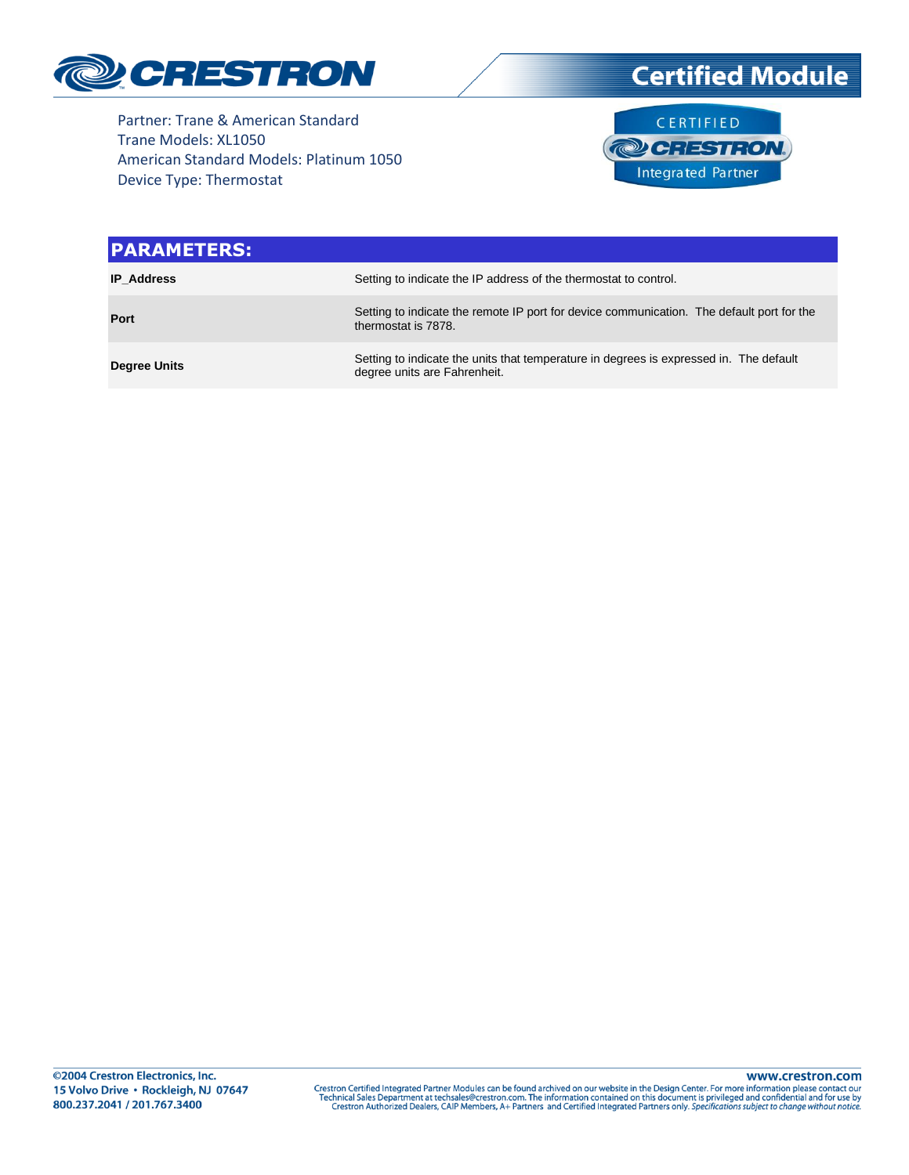

**Certified Module** 

Partner: Trane & American Standard Trane Models: XL1050 American Standard Models: Platinum 1050 Device Type: Thermostat



| <b>PARAMETERS:</b>  |                                                                                                                        |
|---------------------|------------------------------------------------------------------------------------------------------------------------|
| <b>IP Address</b>   | Setting to indicate the IP address of the thermostat to control.                                                       |
| Port                | Setting to indicate the remote IP port for device communication. The default port for the<br>thermostat is 7878.       |
| <b>Degree Units</b> | Setting to indicate the units that temperature in degrees is expressed in. The default<br>degree units are Fahrenheit. |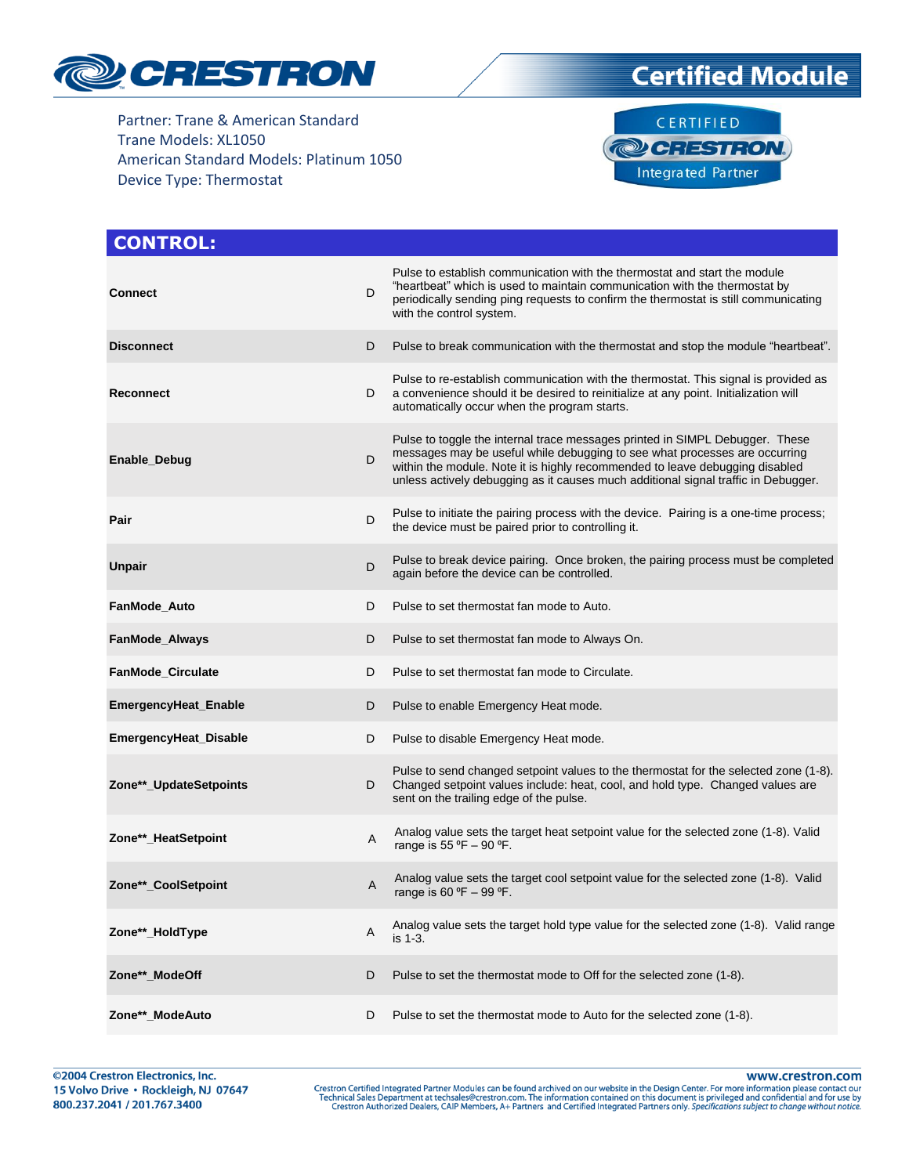

# **Certified Module**



#### **CONTROL: Connect** D<sub>D</sub> Pulse to establish communication with the thermostat and start the module "heartbeat" which is used to maintain communication with the thermostat by periodically sending ping requests to confirm the thermostat is still communicating with the control system. **Disconnect** D Pulse to break communication with the thermostat and stop the module "heartbeat". **Reconnect** D Pulse to re-establish communication with the thermostat. This signal is provided as a convenience should it be desired to reinitialize at any point. Initialization will automatically occur when the program starts. **Enable\_Debug** D Pulse to toggle the internal trace messages printed in SIMPL Debugger. These messages may be useful while debugging to see what processes are occurring within the module. Note it is highly recommended to leave debugging disabled unless actively debugging as it causes much additional signal traffic in Debugger. **Pair** D Pulse to initiate the pairing process with the device. Pairing is a one-time process; the device must be paired prior to controlling it. **Unpair** D Pulse to break device pairing. Once broken, the pairing process must be completed again before the device can be controlled. **FanMode\_Auto** D Pulse to set thermostat fan mode to Auto. **FanMode Always D** Pulse to set thermostat fan mode to Always On. **FanMode\_Circulate D** Pulse to set thermostat fan mode to Circulate. **EmergencyHeat\_Enable D** Pulse to enable Emergency Heat mode. **EmergencyHeat Disable** D Pulse to disable Emergency Heat mode. **Zone\*\*\_UpdateSetpoints** D Pulse to send changed setpoint values to the thermostat for the selected zone (1-8). Changed setpoint values include: heat, cool, and hold type. Changed values are sent on the trailing edge of the pulse. **Zone\*\*** HeatSetpoint A Analog value sets the target heat setpoint value for the selected zone (1-8). Valid range is 55  $°F - 90 °F$ . **Zone\*\*\_CoolSetpoint** A Analog value sets the target cool setpoint value for the selected zone (1-8). Valid range is 60  $°F - 99$  °F. **Zone\*\*\_HoldType** A Analog value sets the target hold type value for the selected zone (1-8). Valid range is 1-3. **Zone\*\*\_ModeOff** D **D** Pulse to set the thermostat mode to Off for the selected zone (1-8). **Zone\*\*** ModeAuto **D** Pulse to set the thermostat mode to Auto for the selected zone (1-8).

www.crestron.com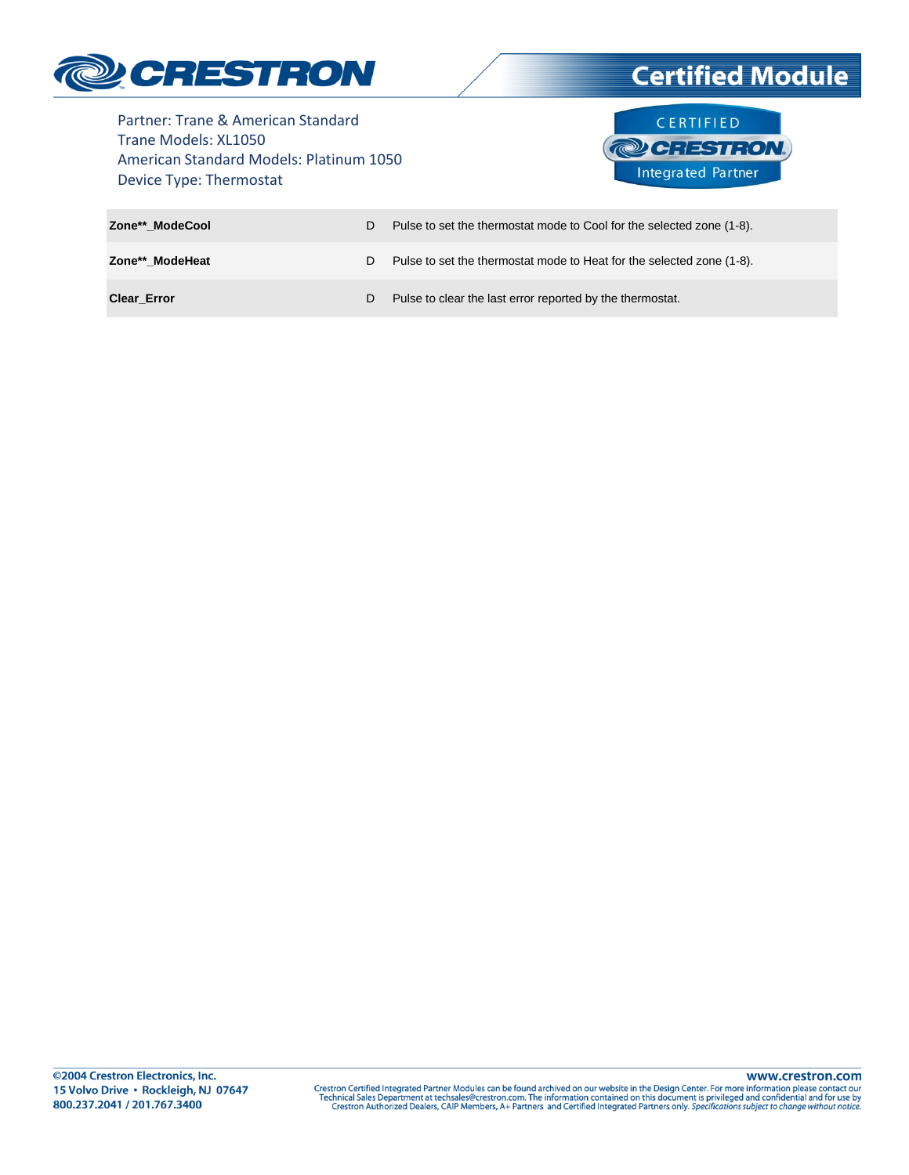

# **Certified Module**

Partner: Trane & American Standard Trane Models: XL1050 American Standard Models: Platinum 1050 Device Type: Thermostat



| Zone** ModeCool    | D. | Pulse to set the thermostat mode to Cool for the selected zone (1-8). |
|--------------------|----|-----------------------------------------------------------------------|
| Zone** ModeHeat    |    | Pulse to set the thermostat mode to Heat for the selected zone (1-8). |
| <b>Clear Error</b> | D. | Pulse to clear the last error reported by the thermostat.             |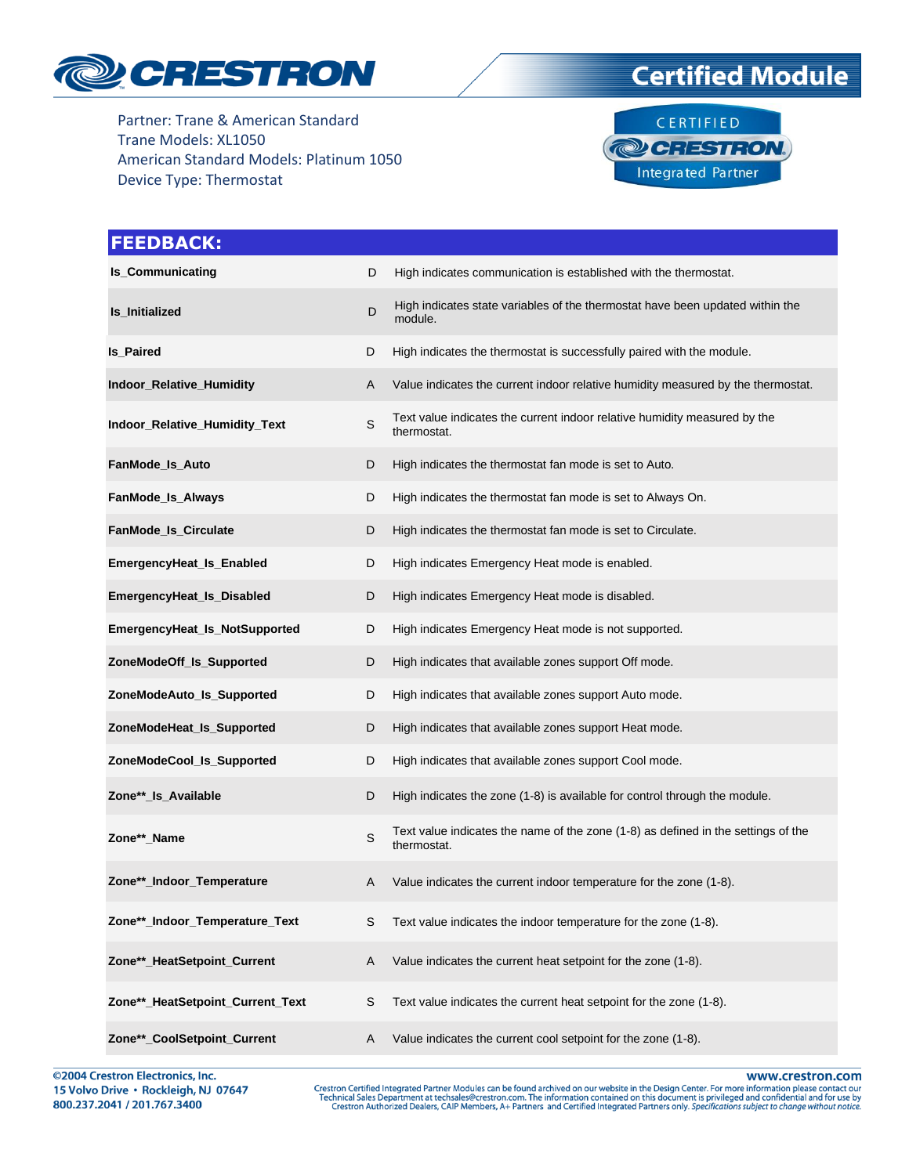

# **Certified Module**



| <b>FEEDBACK:</b>                 |             |                                                                                                  |
|----------------------------------|-------------|--------------------------------------------------------------------------------------------------|
| <b>Is_Communicating</b>          | D           | High indicates communication is established with the thermostat.                                 |
| <b>Is_Initialized</b>            | D           | High indicates state variables of the thermostat have been updated within the<br>module.         |
| <b>Is_Paired</b>                 | D           | High indicates the thermostat is successfully paired with the module.                            |
| Indoor_Relative_Humidity         | A           | Value indicates the current indoor relative humidity measured by the thermostat.                 |
| Indoor_Relative_Humidity_Text    | $\mathsf S$ | Text value indicates the current indoor relative humidity measured by the<br>thermostat.         |
| FanMode_Is_Auto                  | D           | High indicates the thermostat fan mode is set to Auto.                                           |
| FanMode_Is_Always                | D           | High indicates the thermostat fan mode is set to Always On.                                      |
| FanMode_Is_Circulate             | D           | High indicates the thermostat fan mode is set to Circulate.                                      |
| EmergencyHeat_Is_Enabled         | D           | High indicates Emergency Heat mode is enabled.                                                   |
| EmergencyHeat_Is_Disabled        | D           | High indicates Emergency Heat mode is disabled.                                                  |
| EmergencyHeat_Is_NotSupported    | D           | High indicates Emergency Heat mode is not supported.                                             |
| ZoneModeOff_Is_Supported         | D           | High indicates that available zones support Off mode.                                            |
| ZoneModeAuto_Is_Supported        | D           | High indicates that available zones support Auto mode.                                           |
| ZoneModeHeat_Is_Supported        | D           | High indicates that available zones support Heat mode.                                           |
| ZoneModeCool_Is_Supported        | D           | High indicates that available zones support Cool mode.                                           |
| Zone**_Is_Available              | D           | High indicates the zone (1-8) is available for control through the module.                       |
| Zone**_Name                      | S           | Text value indicates the name of the zone (1-8) as defined in the settings of the<br>thermostat. |
| Zone**_Indoor_Temperature        | A           | Value indicates the current indoor temperature for the zone (1-8).                               |
| Zone**_Indoor_Temperature_Text   | S           | Text value indicates the indoor temperature for the zone (1-8).                                  |
| Zone**_HeatSetpoint_Current      | A           | Value indicates the current heat setpoint for the zone (1-8).                                    |
| Zone**_HeatSetpoint_Current_Text | S           | Text value indicates the current heat setpoint for the zone (1-8).                               |
| Zone**_CoolSetpoint_Current      | A           | Value indicates the current cool setpoint for the zone (1-8).                                    |

@2004 Crestron Electronics, Inc. 15 Volvo Drive · Rockleigh, NJ 07647 800.237.2041 / 201.767.3400

www.crestron.com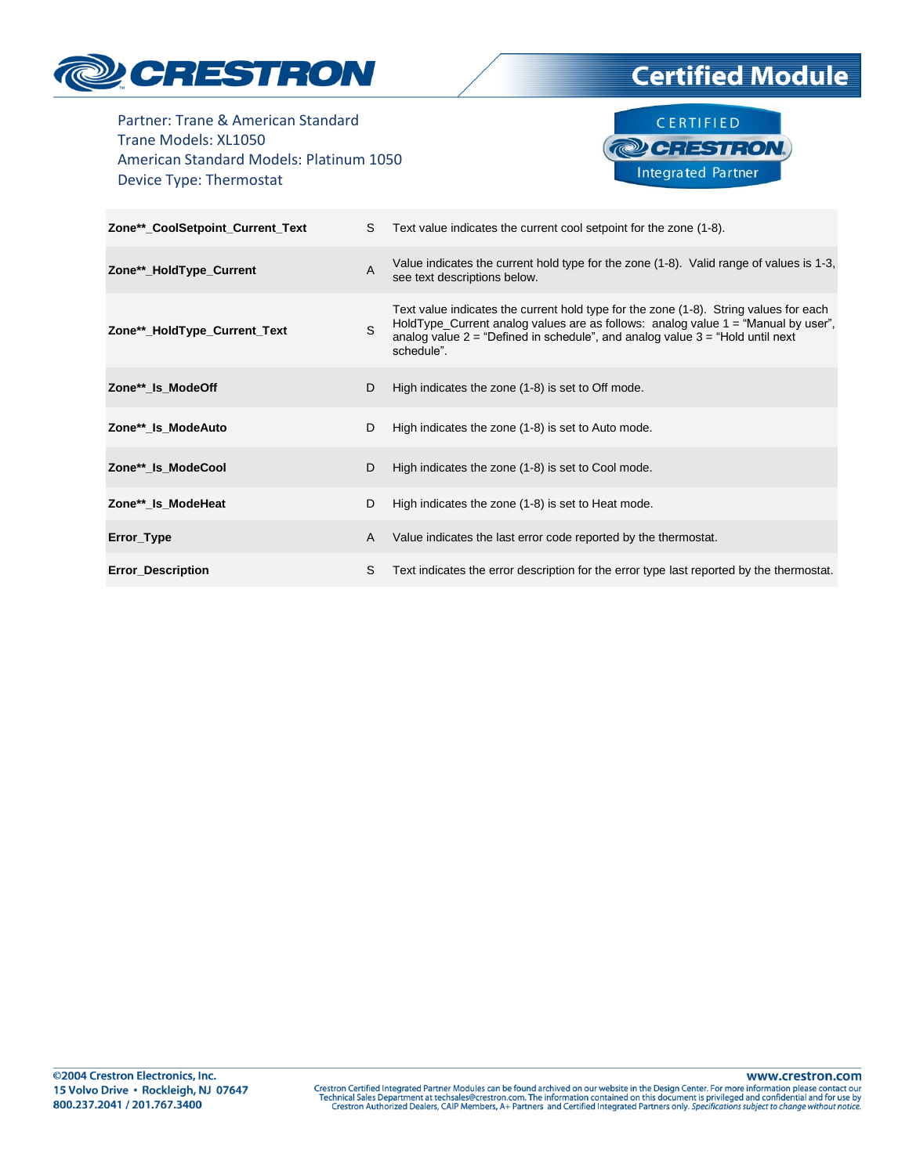

**Certified Module** 

Partner: Trane & American Standard Trane Models: XL1050 American Standard Models: Platinum 1050 Device Type: Thermostat



| Zone**_CoolSetpoint_Current_Text | S.           | Text value indicates the current cool setpoint for the zone (1-8).                                                                                                                                                                                                               |
|----------------------------------|--------------|----------------------------------------------------------------------------------------------------------------------------------------------------------------------------------------------------------------------------------------------------------------------------------|
| Zone**_HoldType_Current          | $\mathsf{A}$ | Value indicates the current hold type for the zone (1-8). Valid range of values is 1-3,<br>see text descriptions below.                                                                                                                                                          |
| Zone**_HoldType_Current_Text     | S.           | Text value indicates the current hold type for the zone (1-8). String values for each<br>HoldType_Current analog values are as follows: analog value $1 =$ "Manual by user",<br>analog value $2 =$ "Defined in schedule", and analog value $3 =$ "Hold until next"<br>schedule". |
| Zone** Is ModeOff                | D            | High indicates the zone (1-8) is set to Off mode.                                                                                                                                                                                                                                |
| Zone** Is ModeAuto               | D            | High indicates the zone (1-8) is set to Auto mode.                                                                                                                                                                                                                               |
| Zone**_Is_ModeCool               | D            | High indicates the zone (1-8) is set to Cool mode.                                                                                                                                                                                                                               |
| Zone** Is ModeHeat               | D            | High indicates the zone (1-8) is set to Heat mode.                                                                                                                                                                                                                               |
| Error_Type                       | A            | Value indicates the last error code reported by the thermostat.                                                                                                                                                                                                                  |
| <b>Error_Description</b>         | S            | Text indicates the error description for the error type last reported by the thermostat.                                                                                                                                                                                         |